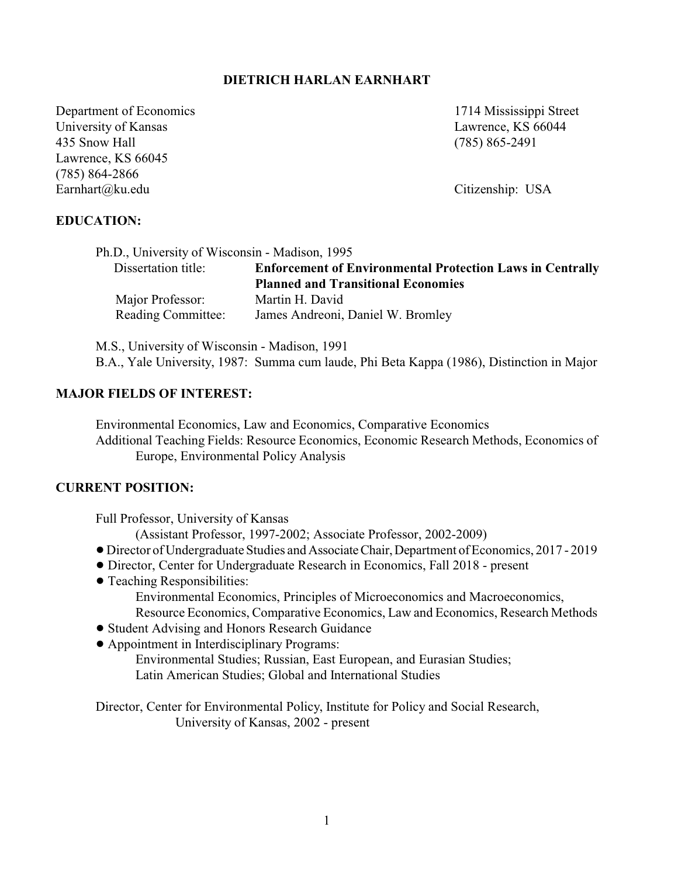## **DIETRICH HARLAN EARNHART**

Department of Economics 1714 Mississippi Street University of Kansas Lawrence, KS 66044 435 Snow Hall (785) 865-2491 Lawrence, KS 66045 (785) 864-2866 Earnhart@ku.edu Citizenship: USA

# **EDUCATION:**

| Ph.D., University of Wisconsin - Madison, 1995 |                                                                  |
|------------------------------------------------|------------------------------------------------------------------|
| Dissertation title:                            | <b>Enforcement of Environmental Protection Laws in Centrally</b> |
|                                                | <b>Planned and Transitional Economies</b>                        |
| Major Professor:                               | Martin H. David                                                  |
| <b>Reading Committee:</b>                      | James Andreoni, Daniel W. Bromley                                |

M.S., University of Wisconsin - Madison, 1991 B.A., Yale University, 1987: Summa cum laude, Phi Beta Kappa (1986), Distinction in Major

### **MAJOR FIELDS OF INTEREST:**

Environmental Economics, Law and Economics, Comparative Economics Additional Teaching Fields: Resource Economics, Economic Research Methods, Economics of Europe, Environmental Policy Analysis

## **CURRENT POSITION:**

Full Professor, University of Kansas

(Assistant Professor, 1997-2002; Associate Professor, 2002-2009)

- ! Director of Undergraduate Studies and AssociateChair,Department of Economics, 2017 2019
- ! Director, Center for Undergraduate Research in Economics, Fall 2018 present
- Teaching Responsibilities:

Environmental Economics, Principles of Microeconomics and Macroeconomics, Resource Economics, Comparative Economics, Law and Economics, Research Methods

- ! Student Advising and Honors Research Guidance
- ! Appointment in Interdisciplinary Programs:

Environmental Studies; Russian, East European, and Eurasian Studies; Latin American Studies; Global and International Studies

Director, Center for Environmental Policy, Institute for Policy and Social Research, University of Kansas, 2002 - present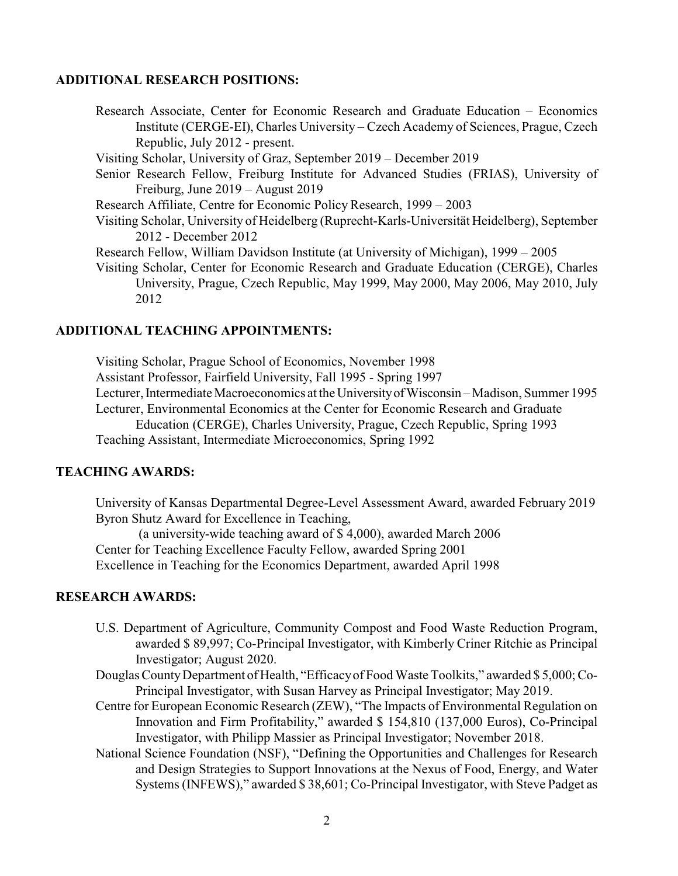### **ADDITIONAL RESEARCH POSITIONS:**

Research Associate, Center for Economic Research and Graduate Education – Economics Institute (CERGE-EI), Charles University – Czech Academy of Sciences, Prague, Czech Republic, July 2012 - present.

Visiting Scholar, University of Graz, September 2019 – December 2019

Senior Research Fellow, Freiburg Institute for Advanced Studies (FRIAS), University of Freiburg, June 2019 – August 2019

Research Affiliate, Centre for Economic Policy Research, 1999 – 2003

Visiting Scholar, University of Heidelberg (Ruprecht-Karls-Universität Heidelberg), September 2012 - December 2012

Research Fellow, William Davidson Institute (at University of Michigan), 1999 – 2005

Visiting Scholar, Center for Economic Research and Graduate Education (CERGE), Charles University, Prague, Czech Republic, May 1999, May 2000, May 2006, May 2010, July 2012

## **ADDITIONAL TEACHING APPOINTMENTS:**

Visiting Scholar, Prague School of Economics, November 1998 Assistant Professor, Fairfield University, Fall 1995 - Spring 1997 Lecturer, Intermediate Macroeconomics at the UniversityofWisconsin – Madison, Summer 1995 Lecturer, Environmental Economics at the Center for Economic Research and Graduate Education (CERGE), Charles University, Prague, Czech Republic, Spring 1993 Teaching Assistant, Intermediate Microeconomics, Spring 1992

# **TEACHING AWARDS:**

University of Kansas Departmental Degree-Level Assessment Award, awarded February 2019 Byron Shutz Award for Excellence in Teaching,

(a university-wide teaching award of \$ 4,000), awarded March 2006 Center for Teaching Excellence Faculty Fellow, awarded Spring 2001 Excellence in Teaching for the Economics Department, awarded April 1998

# **RESEARCH AWARDS:**

- U.S. Department of Agriculture, Community Compost and Food Waste Reduction Program, awarded \$ 89,997; Co-Principal Investigator, with Kimberly Criner Ritchie as Principal Investigator; August 2020.
- Douglas CountyDepartment of Health, "Efficacyof Food Waste Toolkits," awarded \$ 5,000; Co-Principal Investigator, with Susan Harvey as Principal Investigator; May 2019.
- Centre for European Economic Research (ZEW), "The Impacts of Environmental Regulation on Innovation and Firm Profitability," awarded \$ 154,810 (137,000 Euros), Co-Principal Investigator, with Philipp Massier as Principal Investigator; November 2018.
- National Science Foundation (NSF), "Defining the Opportunities and Challenges for Research and Design Strategies to Support Innovations at the Nexus of Food, Energy, and Water Systems (INFEWS)," awarded \$ 38,601; Co-Principal Investigator, with Steve Padget as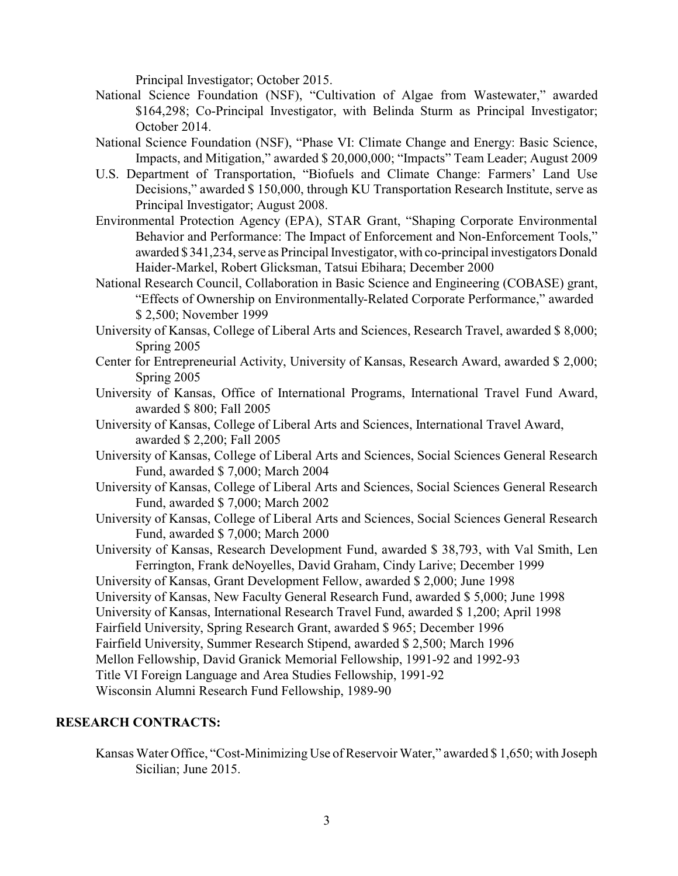Principal Investigator; October 2015.

- National Science Foundation (NSF), "Cultivation of Algae from Wastewater," awarded \$164,298; Co-Principal Investigator, with Belinda Sturm as Principal Investigator; October 2014.
- National Science Foundation (NSF), "Phase VI: Climate Change and Energy: Basic Science, Impacts, and Mitigation," awarded \$ 20,000,000; "Impacts" Team Leader; August 2009
- U.S. Department of Transportation, "Biofuels and Climate Change: Farmers' Land Use Decisions," awarded \$ 150,000, through KU Transportation Research Institute, serve as Principal Investigator; August 2008.
- Environmental Protection Agency (EPA), STAR Grant, "Shaping Corporate Environmental Behavior and Performance: The Impact of Enforcement and Non-Enforcement Tools," awarded \$341,234, serve as Principal Investigator, with co-principal investigators Donald Haider-Markel, Robert Glicksman, Tatsui Ebihara; December 2000
- National Research Council, Collaboration in Basic Science and Engineering (COBASE) grant, "Effects of Ownership on Environmentally-Related Corporate Performance," awarded \$ 2,500; November 1999
- University of Kansas, College of Liberal Arts and Sciences, Research Travel, awarded \$ 8,000; Spring 2005
- Center for Entrepreneurial Activity, University of Kansas, Research Award, awarded \$ 2,000; Spring 2005
- University of Kansas, Office of International Programs, International Travel Fund Award, awarded \$ 800; Fall 2005
- University of Kansas, College of Liberal Arts and Sciences, International Travel Award, awarded \$ 2,200; Fall 2005
- University of Kansas, College of Liberal Arts and Sciences, Social Sciences General Research Fund, awarded \$ 7,000; March 2004
- University of Kansas, College of Liberal Arts and Sciences, Social Sciences General Research Fund, awarded \$ 7,000; March 2002
- University of Kansas, College of Liberal Arts and Sciences, Social Sciences General Research Fund, awarded \$ 7,000; March 2000
- University of Kansas, Research Development Fund, awarded \$ 38,793, with Val Smith, Len Ferrington, Frank deNoyelles, David Graham, Cindy Larive; December 1999
- University of Kansas, Grant Development Fellow, awarded \$ 2,000; June 1998
- University of Kansas, New Faculty General Research Fund, awarded \$ 5,000; June 1998
- University of Kansas, International Research Travel Fund, awarded \$ 1,200; April 1998

Fairfield University, Spring Research Grant, awarded \$ 965; December 1996

Fairfield University, Summer Research Stipend, awarded \$ 2,500; March 1996

Mellon Fellowship, David Granick Memorial Fellowship, 1991-92 and 1992-93

Title VI Foreign Language and Area Studies Fellowship, 1991-92

Wisconsin Alumni Research Fund Fellowship, 1989-90

# **RESEARCH CONTRACTS:**

Kansas Water Office, "Cost-Minimizing Use of Reservoir Water," awarded \$1,650; with Joseph Sicilian; June 2015.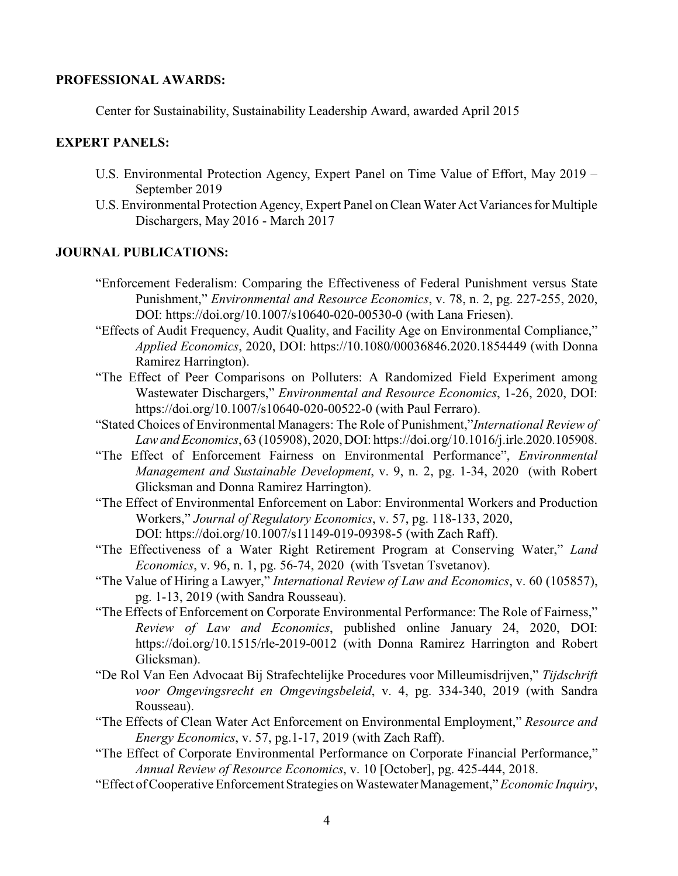### **PROFESSIONAL AWARDS:**

Center for Sustainability, Sustainability Leadership Award, awarded April 2015

# **EXPERT PANELS:**

- U.S. Environmental Protection Agency, Expert Panel on Time Value of Effort, May 2019 September 2019
- U.S. Environmental Protection Agency, Expert Panel on Clean Water Act Variances for Multiple Dischargers, May 2016 - March 2017

# **JOURNAL PUBLICATIONS:**

- "Enforcement Federalism: Comparing the Effectiveness of Federal Punishment versus State Punishment," *Environmental and Resource Economics*, v. 78, n. 2, pg. 227-255, 2020, DOI: https://doi.org/10.1007/s10640-020-00530-0 (with Lana Friesen).
- "Effects of Audit Frequency, Audit Quality, and Facility Age on Environmental Compliance," *Applied Economics*, 2020, DOI: https://10.1080/00036846.2020.1854449 (with Donna Ramirez Harrington).
- "The Effect of Peer Comparisons on Polluters: A Randomized Field Experiment among Wastewater Dischargers," *Environmental and Resource Economics*, 1-26, 2020, DOI: https://doi.org/10.1007/s10640-020-00522-0 (with Paul Ferraro).
- "Stated Choices of Environmental Managers: The Role of Punishment,"*International Review of LawandEconomics*, 63 (105908), 2020, DOI: https://doi.org/10.1016/j.irle.2020.105908.
- "The Effect of Enforcement Fairness on Environmental Performance", *Environmental Management and Sustainable Development*, v. 9, n. 2, pg. 1-34, 2020 (with Robert Glicksman and Donna Ramirez Harrington).
- "The Effect of Environmental Enforcement on Labor: Environmental Workers and Production Workers," *Journal of Regulatory Economics*, v. 57, pg. 118-133, 2020, DOI: https://doi.org/10.1007/s11149-019-09398-5 (with Zach Raff).
- "The Effectiveness of a Water Right Retirement Program at Conserving Water," *Land Economics*, v. 96, n. 1, pg. 56-74, 2020 (with Tsvetan Tsvetanov).
- "The Value of Hiring a Lawyer," *International Review of Law and Economics*, v. 60 (105857), pg. 1-13, 2019 (with Sandra Rousseau).
- "The Effects of Enforcement on Corporate Environmental Performance: The Role of Fairness," *Review of Law and Economics*, published online January 24, 2020, DOI: https://doi.org/10.1515/rle-2019-0012 (with Donna Ramirez Harrington and Robert Glicksman).
- "De Rol Van Een Advocaat Bij Strafechtelijke Procedures voor Milleumisdrijven," *Tijdschrift voor Omgevingsrecht en Omgevingsbeleid*, v. 4, pg. 334-340, 2019 (with Sandra Rousseau).
- "The Effects of Clean Water Act Enforcement on Environmental Employment," *Resource and Energy Economics*, v. 57, pg.1-17, 2019 (with Zach Raff).
- "The Effect of Corporate Environmental Performance on Corporate Financial Performance," *Annual Review of Resource Economics*, v. 10 [October], pg. 425-444, 2018.
- "Effect of Cooperative Enforcement Strategies on Wastewater Management," *Economic Inquiry*,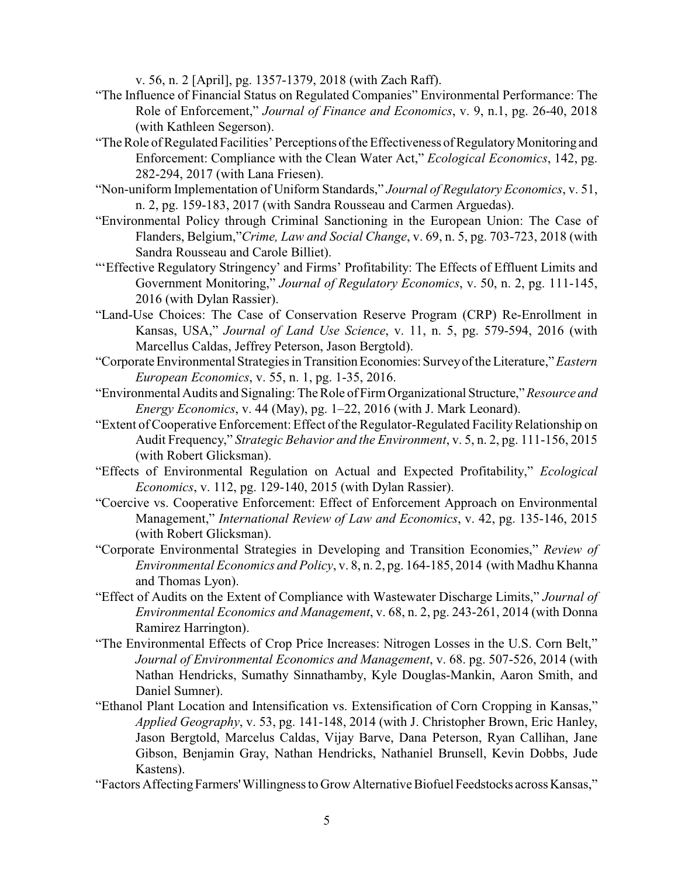v. 56, n. 2 [April], pg. 1357-1379, 2018 (with Zach Raff).

- "The Influence of Financial Status on Regulated Companies" Environmental Performance: The Role of Enforcement," *Journal of Finance and Economics*, v. 9, n.1, pg. 26-40, 2018 (with Kathleen Segerson).
- "The Role of Regulated Facilities' Perceptions of the Effectiveness of RegulatoryMonitoring and Enforcement: Compliance with the Clean Water Act," *Ecological Economics*, 142, pg. 282-294, 2017 (with Lana Friesen).
- "Non-uniform Implementation of Uniform Standards," *Journal of Regulatory Economics*, v. 51, n. 2, pg. 159-183, 2017 (with Sandra Rousseau and Carmen Arguedas).
- "Environmental Policy through Criminal Sanctioning in the European Union: The Case of Flanders, Belgium,"*Crime, Law and Social Change*, v. 69, n. 5, pg. 703-723, 2018 (with Sandra Rousseau and Carole Billiet).
- "'Effective Regulatory Stringency' and Firms' Profitability: The Effects of Effluent Limits and Government Monitoring," *Journal of Regulatory Economics*, v. 50, n. 2, pg. 111-145, 2016 (with Dylan Rassier).
- "Land-Use Choices: The Case of Conservation Reserve Program (CRP) Re-Enrollment in Kansas, USA," *Journal of Land Use Science*, v. 11, n. 5, pg. 579-594, 2016 (with Marcellus Caldas, Jeffrey Peterson, Jason Bergtold).
- "Corporate Environmental Strategies in TransitionEconomies: Surveyof the Literature," *Eastern European Economics*, v. 55, n. 1, pg. 1-35, 2016.
- "Environmental Audits and Signaling: The Role of Firm Organizational Structure,"*Resource and Energy Economics*, v. 44 (May), pg. 1–22, 2016 (with J. Mark Leonard).
- "Extent of Cooperative Enforcement: Effect of the Regulator-Regulated Facility Relationship on Audit Frequency," *Strategic Behavior and the Environment*, v. 5, n. 2, pg. 111-156, 2015 (with Robert Glicksman).
- "Effects of Environmental Regulation on Actual and Expected Profitability," *Ecological Economics*, v. 112, pg. 129-140, 2015 (with Dylan Rassier).
- "Coercive vs. Cooperative Enforcement: Effect of Enforcement Approach on Environmental Management," *International Review of Law and Economics*, v. 42, pg. 135-146, 2015 (with Robert Glicksman).
- "Corporate Environmental Strategies in Developing and Transition Economies," *Review of Environmental Economics and Policy*, v. 8, n. 2, pg. 164-185, 2014 (with Madhu Khanna and Thomas Lyon).
- "Effect of Audits on the Extent of Compliance with Wastewater Discharge Limits," *Journal of Environmental Economics and Management*, v. 68, n. 2, pg. 243-261, 2014 (with Donna Ramirez Harrington).
- "The Environmental Effects of Crop Price Increases: Nitrogen Losses in the U.S. Corn Belt," *Journal of Environmental Economics and Management*, v. 68. pg. 507-526, 2014 (with Nathan Hendricks, Sumathy Sinnathamby, Kyle Douglas-Mankin, Aaron Smith, and Daniel Sumner).
- "Ethanol Plant Location and Intensification vs. Extensification of Corn Cropping in Kansas," *Applied Geography*, v. 53, pg. 141-148, 2014 (with J. Christopher Brown, Eric Hanley, Jason Bergtold, Marcelus Caldas, Vijay Barve, Dana Peterson, Ryan Callihan, Jane Gibson, Benjamin Gray, Nathan Hendricks, Nathaniel Brunsell, Kevin Dobbs, Jude Kastens).
- "Factors Affecting Farmers' Willingness to Grow Alternative Biofuel Feedstocks across Kansas,"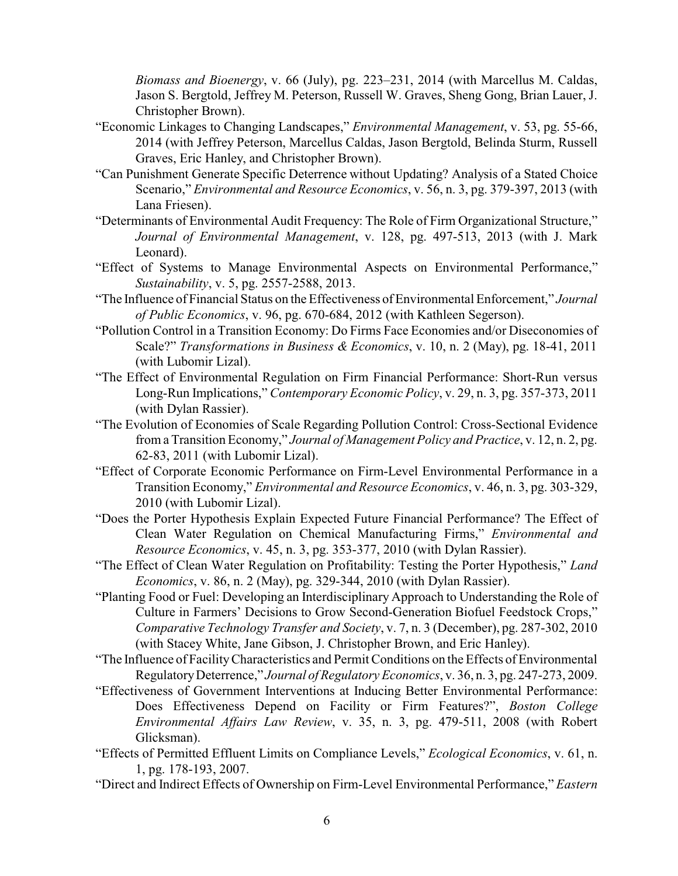*Biomass and Bioenergy*, v. 66 (July), pg. 223–231, 2014 (with Marcellus M. Caldas, Jason S. Bergtold, Jeffrey M. Peterson, Russell W. Graves, Sheng Gong, Brian Lauer, J. Christopher Brown).

- "Economic Linkages to Changing Landscapes," *Environmental Management*, v. 53, pg. 55-66, 2014 (with Jeffrey Peterson, Marcellus Caldas, Jason Bergtold, Belinda Sturm, Russell Graves, Eric Hanley, and Christopher Brown).
- "Can Punishment Generate Specific Deterrence without Updating? Analysis of a Stated Choice Scenario," *Environmental and Resource Economics*, v. 56, n. 3, pg. 379-397, 2013 (with Lana Friesen).
- "Determinants of Environmental Audit Frequency: The Role of Firm Organizational Structure," *Journal of Environmental Management*, v. 128, pg. 497-513, 2013 (with J. Mark Leonard).
- "Effect of Systems to Manage Environmental Aspects on Environmental Performance," *Sustainability*, v. 5, pg. 2557-2588, 2013.
- "The Influence of Financial Status on the Effectiveness of Environmental Enforcement," *Journal of Public Economics*, v. 96, pg. 670-684, 2012 (with Kathleen Segerson).
- "Pollution Control in a Transition Economy: Do Firms Face Economies and/or Diseconomies of Scale?" *Transformations in Business & Economics*, v. 10, n. 2 (May), pg. 18-41, 2011 (with Lubomir Lizal).
- "The Effect of Environmental Regulation on Firm Financial Performance: Short-Run versus Long-Run Implications," *Contemporary Economic Policy*, v. 29, n. 3, pg. 357-373, 2011 (with Dylan Rassier).
- "The Evolution of Economies of Scale Regarding Pollution Control: Cross-Sectional Evidence from a Transition Economy," *Journal of Management Policy and Practice*, v. 12, n. 2, pg. 62-83, 2011 (with Lubomir Lizal).
- "Effect of Corporate Economic Performance on Firm-Level Environmental Performance in a Transition Economy," *Environmental and Resource Economics*, v. 46, n. 3, pg. 303-329, 2010 (with Lubomir Lizal).
- "Does the Porter Hypothesis Explain Expected Future Financial Performance? The Effect of Clean Water Regulation on Chemical Manufacturing Firms," *Environmental and Resource Economics*, v. 45, n. 3, pg. 353-377, 2010 (with Dylan Rassier).
- "The Effect of Clean Water Regulation on Profitability: Testing the Porter Hypothesis," *Land Economics*, v. 86, n. 2 (May), pg. 329-344, 2010 (with Dylan Rassier).
- "Planting Food or Fuel: Developing an Interdisciplinary Approach to Understanding the Role of Culture in Farmers' Decisions to Grow Second-Generation Biofuel Feedstock Crops," *Comparative Technology Transfer and Society*, v. 7, n. 3 (December), pg. 287-302, 2010 (with Stacey White, Jane Gibson, J. Christopher Brown, and Eric Hanley).
- "The Influence of FacilityCharacteristics and Permit Conditions on the Effects of Environmental RegulatoryDeterrence," *Journal of Regulatory Economics*, v. 36, n. 3, pg. 247-273, 2009.
- "Effectiveness of Government Interventions at Inducing Better Environmental Performance: Does Effectiveness Depend on Facility or Firm Features?", *Boston College Environmental Affairs Law Review*, v. 35, n. 3, pg. 479-511, 2008 (with Robert Glicksman).
- "Effects of Permitted Effluent Limits on Compliance Levels," *Ecological Economics*, v. 61, n. 1, pg. 178-193, 2007.
- "Direct and Indirect Effects of Ownership on Firm-Level Environmental Performance," *Eastern*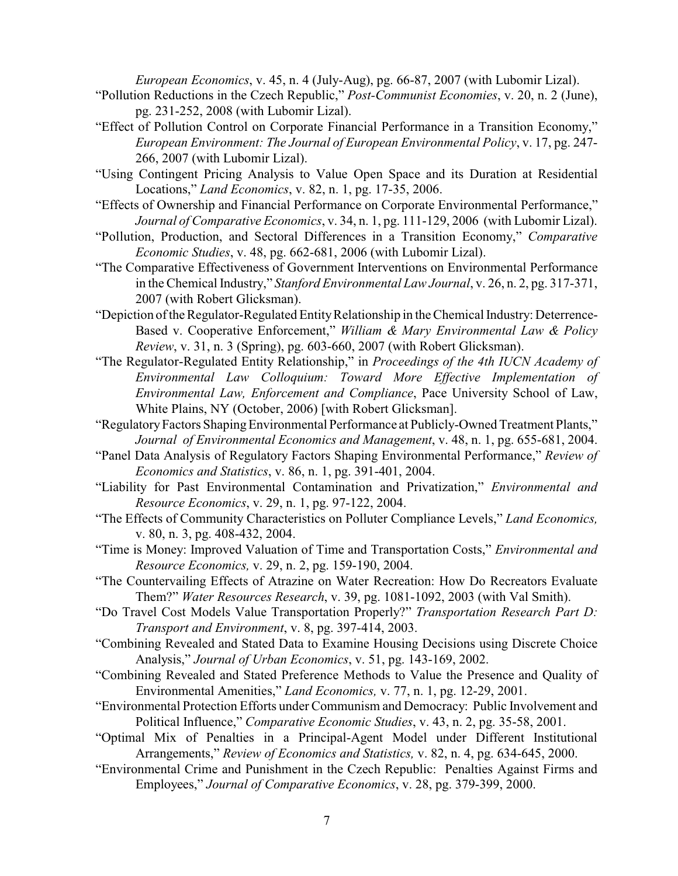*European Economics*, v. 45, n. 4 (July-Aug), pg. 66-87, 2007 (with Lubomir Lizal).

- "Pollution Reductions in the Czech Republic," *Post-Communist Economies*, v. 20, n. 2 (June), pg. 231-252, 2008 (with Lubomir Lizal).
- "Effect of Pollution Control on Corporate Financial Performance in a Transition Economy," *European Environment: The Journal of European Environmental Policy*, v. 17, pg. 247- 266, 2007 (with Lubomir Lizal).
- "Using Contingent Pricing Analysis to Value Open Space and its Duration at Residential Locations," *Land Economics*, v. 82, n. 1, pg. 17-35, 2006.
- "Effects of Ownership and Financial Performance on Corporate Environmental Performance," *Journal of Comparative Economics*, v. 34, n. 1, pg. 111-129, 2006 (with Lubomir Lizal).
- "Pollution, Production, and Sectoral Differences in a Transition Economy," *Comparative Economic Studies*, v. 48, pg. 662-681, 2006 (with Lubomir Lizal).
- "The Comparative Effectiveness of Government Interventions on Environmental Performance in the Chemical Industry," *Stanford Environmental Law Journal*, v. 26, n. 2, pg. 317-371, 2007 (with Robert Glicksman).
- "Depiction of the Regulator-Regulated EntityRelationship in the Chemical Industry: Deterrence-Based v. Cooperative Enforcement," *William & Mary Environmental Law & Policy Review*, v. 31, n. 3 (Spring), pg. 603-660, 2007 (with Robert Glicksman).
- "The Regulator-Regulated Entity Relationship," in *Proceedings of the 4th IUCN Academy of Environmental Law Colloquium: Toward More Effective Implementation of Environmental Law, Enforcement and Compliance*, Pace University School of Law, White Plains, NY (October, 2006) [with Robert Glicksman].
- "RegulatoryFactors ShapingEnvironmental Performance at Publicly-Owned Treatment Plants," *Journal of Environmental Economics and Management*, v. 48, n. 1, pg. 655-681, 2004.
- "Panel Data Analysis of Regulatory Factors Shaping Environmental Performance," *Review of Economics and Statistics*, v. 86, n. 1, pg. 391-401, 2004.
- "Liability for Past Environmental Contamination and Privatization," *Environmental and Resource Economics*, v. 29, n. 1, pg. 97-122, 2004.
- "The Effects of Community Characteristics on Polluter Compliance Levels," *Land Economics,* v. 80, n. 3, pg. 408-432, 2004.
- "Time is Money: Improved Valuation of Time and Transportation Costs," *Environmental and Resource Economics,* v. 29, n. 2, pg. 159-190, 2004.
- "The Countervailing Effects of Atrazine on Water Recreation: How Do Recreators Evaluate Them?" *Water Resources Research*, v. 39, pg. 1081-1092, 2003 (with Val Smith).
- "Do Travel Cost Models Value Transportation Properly?" *Transportation Research Part D: Transport and Environment*, v. 8, pg. 397-414, 2003.
- "Combining Revealed and Stated Data to Examine Housing Decisions using Discrete Choice Analysis," *Journal of Urban Economics*, v. 51, pg. 143-169, 2002.
- "Combining Revealed and Stated Preference Methods to Value the Presence and Quality of Environmental Amenities," *Land Economics,* v. 77, n. 1, pg. 12-29, 2001.
- "Environmental Protection Efforts under Communism and Democracy: Public Involvement and Political Influence," *Comparative Economic Studies*, v. 43, n. 2, pg. 35-58, 2001.
- "Optimal Mix of Penalties in a Principal-Agent Model under Different Institutional Arrangements," *Review of Economics and Statistics,* v. 82, n. 4, pg. 634-645, 2000.
- "Environmental Crime and Punishment in the Czech Republic: Penalties Against Firms and Employees," *Journal of Comparative Economics*, v. 28, pg. 379-399, 2000.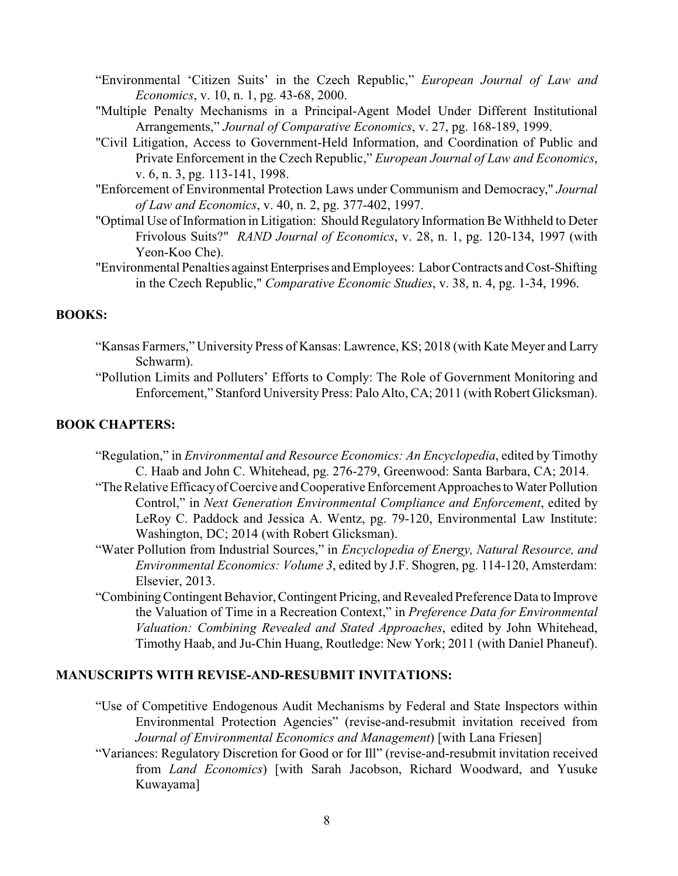- "Environmental 'Citizen Suits' in the Czech Republic," *European Journal of Law and Economics*, v. 10, n. 1, pg. 43-68, 2000.
- "Multiple Penalty Mechanisms in a Principal-Agent Model Under Different Institutional Arrangements," *Journal of Comparative Economics*, v. 27, pg. 168-189, 1999.
- "Civil Litigation, Access to Government-Held Information, and Coordination of Public and Private Enforcement in the Czech Republic," *European Journal of Law and Economics*, v. 6, n. 3, pg. 113-141, 1998.
- "Enforcement of Environmental Protection Laws under Communism and Democracy," *Journal of Law and Economics*, v. 40, n. 2, pg. 377-402, 1997.
- "Optimal Use of Information in Litigation: Should Regulatory Information Be Withheld to Deter Frivolous Suits?" *RAND Journal of Economics*, v. 28, n. 1, pg. 120-134, 1997 (with Yeon-Koo Che).
- "Environmental Penalties against Enterprises and Employees: Labor Contracts and Cost-Shifting in the Czech Republic," *Comparative Economic Studies*, v. 38, n. 4, pg. 1-34, 1996.

### **BOOKS:**

- "Kansas Farmers," University Press of Kansas: Lawrence, KS; 2018 (with Kate Meyer and Larry Schwarm).
- "Pollution Limits and Polluters' Efforts to Comply: The Role of Government Monitoring and Enforcement," Stanford University Press: Palo Alto, CA; 2011 (with Robert Glicksman).

## **BOOK CHAPTERS:**

- "Regulation," in *Environmental and Resource Economics: An Encyclopedia*, edited by Timothy C. Haab and John C. Whitehead, pg. 276-279, Greenwood: Santa Barbara, CA; 2014.
- "The Relative Efficacy of Coercive and Cooperative Enforcement Approaches to Water Pollution Control," in *Next Generation Environmental Compliance and Enforcement*, edited by LeRoy C. Paddock and Jessica A. Wentz, pg. 79-120, Environmental Law Institute: Washington, DC; 2014 (with Robert Glicksman).
- "Water Pollution from Industrial Sources," in *Encyclopedia of Energy, Natural Resource, and Environmental Economics: Volume 3*, edited by J.F. Shogren, pg. 114-120, Amsterdam: Elsevier, 2013.
- "CombiningContingent Behavior, Contingent Pricing, and Revealed Preference Data to Improve the Valuation of Time in a Recreation Context," in *Preference Data for Environmental Valuation: Combining Revealed and Stated Approaches*, edited by John Whitehead, Timothy Haab, and Ju-Chin Huang, Routledge: New York; 2011 (with Daniel Phaneuf).

# **MANUSCRIPTS WITH REVISE-AND-RESUBMIT INVITATIONS:**

- "Use of Competitive Endogenous Audit Mechanisms by Federal and State Inspectors within Environmental Protection Agencies" (revise-and-resubmit invitation received from *Journal of Environmental Economics and Management*) [with Lana Friesen]
- "Variances: Regulatory Discretion for Good or for Ill" (revise-and-resubmit invitation received from *Land Economics*) [with Sarah Jacobson, Richard Woodward, and Yusuke Kuwayama]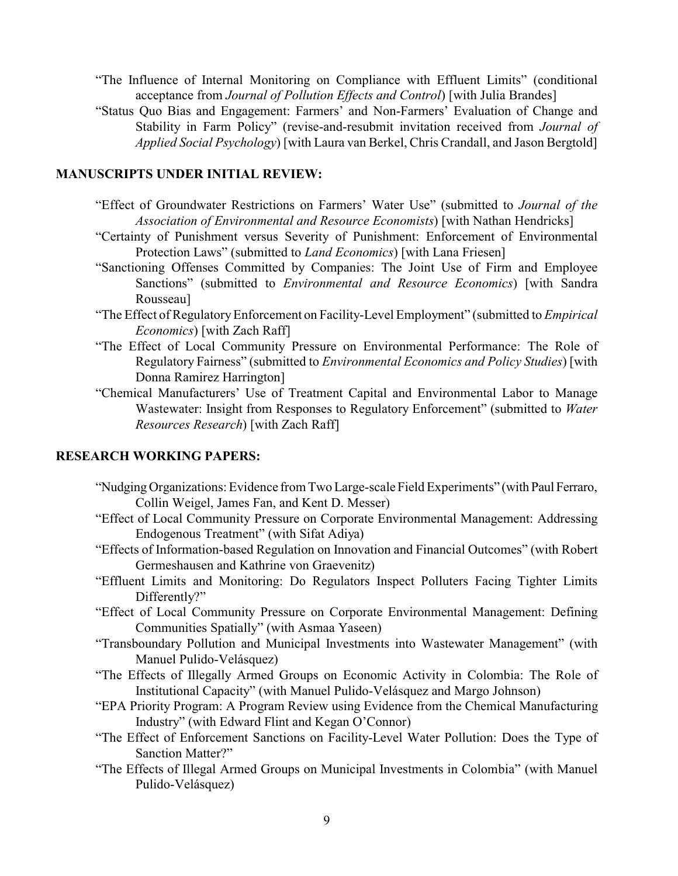- "The Influence of Internal Monitoring on Compliance with Effluent Limits" (conditional acceptance from *Journal of Pollution Effects and Control*) [with Julia Brandes]
- "Status Quo Bias and Engagement: Farmers' and Non-Farmers' Evaluation of Change and Stability in Farm Policy" (revise-and-resubmit invitation received from *Journal of Applied Social Psychology*) [with Laura van Berkel, Chris Crandall, and Jason Bergtold]

### **MANUSCRIPTS UNDER INITIAL REVIEW:**

- "Effect of Groundwater Restrictions on Farmers' Water Use" (submitted to *Journal of the Association of Environmental and Resource Economists*) [with Nathan Hendricks]
- "Certainty of Punishment versus Severity of Punishment: Enforcement of Environmental Protection Laws" (submitted to *Land Economics*) [with Lana Friesen]
- "Sanctioning Offenses Committed by Companies: The Joint Use of Firm and Employee Sanctions" (submitted to *Environmental and Resource Economics*) [with Sandra Rousseau]
- "The Effect of RegulatoryEnforcement on Facility-Level Employment" (submitted to *Empirical Economics*) [with Zach Raff]
- "The Effect of Local Community Pressure on Environmental Performance: The Role of Regulatory Fairness" (submitted to *Environmental Economics and Policy Studies*) [with Donna Ramirez Harrington]
- "Chemical Manufacturers' Use of Treatment Capital and Environmental Labor to Manage Wastewater: Insight from Responses to Regulatory Enforcement" (submitted to *Water Resources Research*) [with Zach Raff]

## **RESEARCH WORKING PAPERS:**

- "NudgingOrganizations: Evidence from Two Large-scale Field Experiments" (with Paul Ferraro, Collin Weigel, James Fan, and Kent D. Messer)
- "Effect of Local Community Pressure on Corporate Environmental Management: Addressing Endogenous Treatment" (with Sifat Adiya)
- "Effects of Information-based Regulation on Innovation and Financial Outcomes" (with Robert Germeshausen and Kathrine von Graevenitz)
- "Effluent Limits and Monitoring: Do Regulators Inspect Polluters Facing Tighter Limits Differently?"
- "Effect of Local Community Pressure on Corporate Environmental Management: Defining Communities Spatially" (with Asmaa Yaseen)
- "Transboundary Pollution and Municipal Investments into Wastewater Management" (with Manuel Pulido-Velásquez)
- "The Effects of Illegally Armed Groups on Economic Activity in Colombia: The Role of Institutional Capacity" (with Manuel Pulido-Velásquez and Margo Johnson)
- "EPA Priority Program: A Program Review using Evidence from the Chemical Manufacturing Industry" (with Edward Flint and Kegan O'Connor)
- "The Effect of Enforcement Sanctions on Facility-Level Water Pollution: Does the Type of Sanction Matter?"
- "The Effects of Illegal Armed Groups on Municipal Investments in Colombia" (with Manuel Pulido-Velásquez)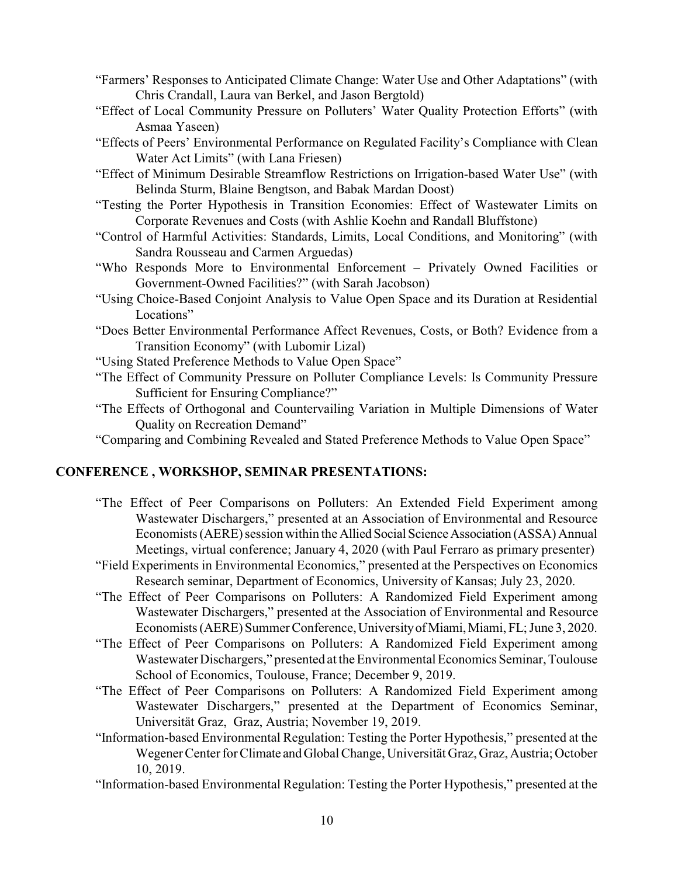"Farmers' Responses to Anticipated Climate Change: Water Use and Other Adaptations" (with Chris Crandall, Laura van Berkel, and Jason Bergtold)

- "Effect of Local Community Pressure on Polluters' Water Quality Protection Efforts" (with Asmaa Yaseen)
- "Effects of Peers' Environmental Performance on Regulated Facility's Compliance with Clean Water Act Limits" (with Lana Friesen)
- "Effect of Minimum Desirable Streamflow Restrictions on Irrigation-based Water Use" (with Belinda Sturm, Blaine Bengtson, and Babak Mardan Doost)
- "Testing the Porter Hypothesis in Transition Economies: Effect of Wastewater Limits on Corporate Revenues and Costs (with Ashlie Koehn and Randall Bluffstone)
- "Control of Harmful Activities: Standards, Limits, Local Conditions, and Monitoring" (with Sandra Rousseau and Carmen Arguedas)
- "Who Responds More to Environmental Enforcement Privately Owned Facilities or Government-Owned Facilities?" (with Sarah Jacobson)
- "Using Choice-Based Conjoint Analysis to Value Open Space and its Duration at Residential Locations"
- "Does Better Environmental Performance Affect Revenues, Costs, or Both? Evidence from a Transition Economy" (with Lubomir Lizal)
- "Using Stated Preference Methods to Value Open Space"
- "The Effect of Community Pressure on Polluter Compliance Levels: Is Community Pressure Sufficient for Ensuring Compliance?"
- "The Effects of Orthogonal and Countervailing Variation in Multiple Dimensions of Water Quality on Recreation Demand"

"Comparing and Combining Revealed and Stated Preference Methods to Value Open Space"

### **CONFERENCE , WORKSHOP, SEMINAR PRESENTATIONS:**

- "The Effect of Peer Comparisons on Polluters: An Extended Field Experiment among Wastewater Dischargers," presented at an Association of Environmental and Resource Economists (AERE) session within the Allied Social Science Association (ASSA) Annual Meetings, virtual conference; January 4, 2020 (with Paul Ferraro as primary presenter)
- "Field Experiments in Environmental Economics," presented at the Perspectives on Economics Research seminar, Department of Economics, University of Kansas; July 23, 2020.
- "The Effect of Peer Comparisons on Polluters: A Randomized Field Experiment among Wastewater Dischargers," presented at the Association of Environmental and Resource Economists (AERE) Summer Conference, University of Miami, Miami, FL; June 3, 2020.
- "The Effect of Peer Comparisons on Polluters: A Randomized Field Experiment among Wastewater Dischargers," presented at the Environmental Economics Seminar, Toulouse School of Economics, Toulouse, France; December 9, 2019.
- "The Effect of Peer Comparisons on Polluters: A Randomized Field Experiment among Wastewater Dischargers," presented at the Department of Economics Seminar, Universität Graz, Graz, Austria; November 19, 2019.
- "Information-based Environmental Regulation: Testing the Porter Hypothesis," presented at the Wegener Center for Climate andGlobal Change, Universität Graz, Graz, Austria; October 10, 2019.
- "Information-based Environmental Regulation: Testing the Porter Hypothesis," presented at the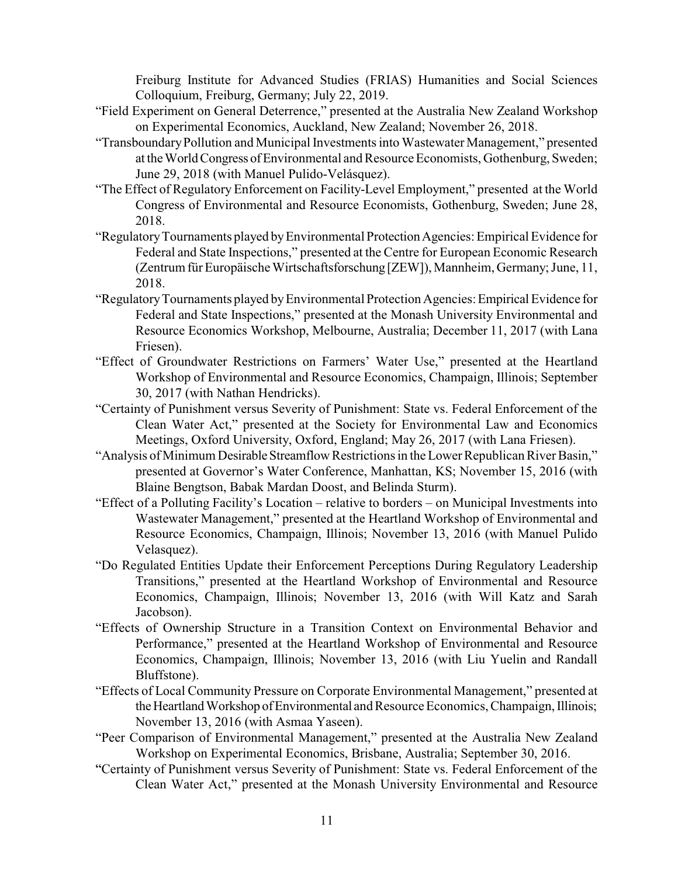Freiburg Institute for Advanced Studies (FRIAS) Humanities and Social Sciences Colloquium, Freiburg, Germany; July 22, 2019.

- "Field Experiment on General Deterrence," presented at the Australia New Zealand Workshop on Experimental Economics, Auckland, New Zealand; November 26, 2018.
- "TransboundaryPollution and Municipal Investments into Wastewater Management," presented at theWorldCongress ofEnvironmental and Resource Economists, Gothenburg, Sweden; June 29, 2018 (with Manuel Pulido-Velásquez).
- "The Effect of Regulatory Enforcement on Facility-Level Employment," presented at the World Congress of Environmental and Resource Economists, Gothenburg, Sweden; June 28, 2018.
- "RegulatoryTournaments played byEnvironmental ProtectionAgencies: Empirical Evidence for Federal and State Inspections," presented at the Centre for European Economic Research (Zentrum für Europäische Wirtschaftsforschung[ZEW]), Mannheim, Germany; June, 11, 2018.
- "RegulatoryTournaments played byEnvironmental Protection Agencies:EmpiricalEvidence for Federal and State Inspections," presented at the Monash University Environmental and Resource Economics Workshop, Melbourne, Australia; December 11, 2017 (with Lana Friesen).
- "Effect of Groundwater Restrictions on Farmers' Water Use," presented at the Heartland Workshop of Environmental and Resource Economics, Champaign, Illinois; September 30, 2017 (with Nathan Hendricks).
- "Certainty of Punishment versus Severity of Punishment: State vs. Federal Enforcement of the Clean Water Act," presented at the Society for Environmental Law and Economics Meetings, Oxford University, Oxford, England; May 26, 2017 (with Lana Friesen).
- "Analysis of Minimum Desirable Streamflow Restrictions in the Lower Republican River Basin," presented at Governor's Water Conference, Manhattan, KS; November 15, 2016 (with Blaine Bengtson, Babak Mardan Doost, and Belinda Sturm).
- "Effect of a Polluting Facility's Location relative to borders on Municipal Investments into Wastewater Management," presented at the Heartland Workshop of Environmental and Resource Economics, Champaign, Illinois; November 13, 2016 (with Manuel Pulido Velasquez).
- "Do Regulated Entities Update their Enforcement Perceptions During Regulatory Leadership Transitions," presented at the Heartland Workshop of Environmental and Resource Economics, Champaign, Illinois; November 13, 2016 (with Will Katz and Sarah Jacobson).
- "Effects of Ownership Structure in a Transition Context on Environmental Behavior and Performance," presented at the Heartland Workshop of Environmental and Resource Economics, Champaign, Illinois; November 13, 2016 (with Liu Yuelin and Randall Bluffstone).
- "Effects of Local Community Pressure on Corporate Environmental Management," presented at the Heartland Workshop of Environmental and Resource Economics, Champaign, Illinois; November 13, 2016 (with Asmaa Yaseen).
- "Peer Comparison of Environmental Management," presented at the Australia New Zealand Workshop on Experimental Economics, Brisbane, Australia; September 30, 2016.
- "Certainty of Punishment versus Severity of Punishment: State vs. Federal Enforcement of the Clean Water Act," presented at the Monash University Environmental and Resource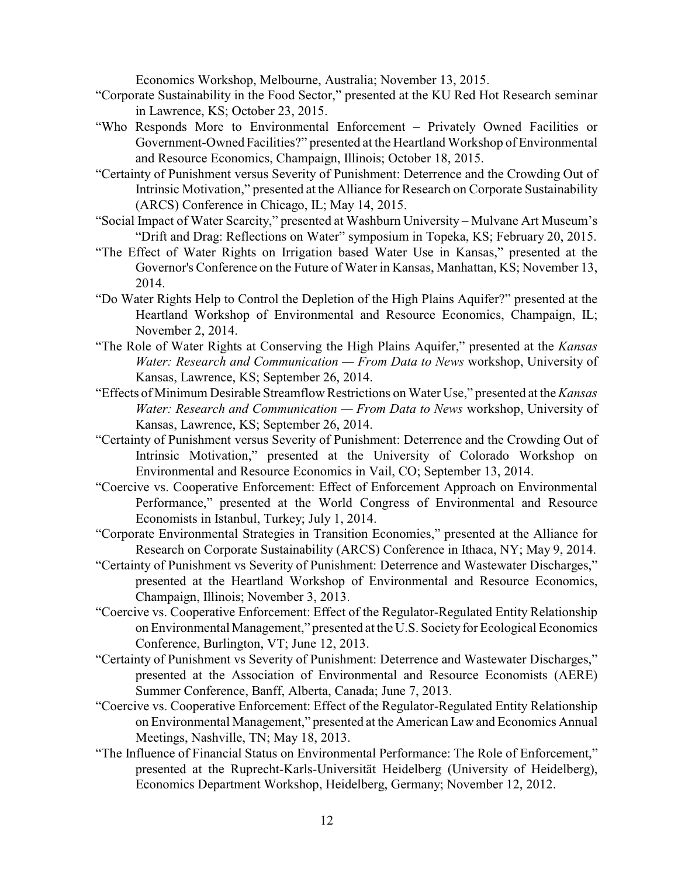Economics Workshop, Melbourne, Australia; November 13, 2015.

- "Corporate Sustainability in the Food Sector," presented at the KU Red Hot Research seminar in Lawrence, KS; October 23, 2015.
- "Who Responds More to Environmental Enforcement Privately Owned Facilities or Government-Owned Facilities?" presented at the Heartland Workshop of Environmental and Resource Economics, Champaign, Illinois; October 18, 2015.
- "Certainty of Punishment versus Severity of Punishment: Deterrence and the Crowding Out of Intrinsic Motivation," presented at the Alliance for Research on Corporate Sustainability (ARCS) Conference in Chicago, IL; May 14, 2015.
- "Social Impact of Water Scarcity," presented at Washburn University Mulvane Art Museum's "Drift and Drag: Reflections on Water" symposium in Topeka, KS; February 20, 2015.
- "The Effect of Water Rights on Irrigation based Water Use in Kansas," presented at the Governor's Conference on the Future of Water in Kansas, Manhattan, KS; November 13, 2014.
- "Do Water Rights Help to Control the Depletion of the High Plains Aquifer?" presented at the Heartland Workshop of Environmental and Resource Economics, Champaign, IL; November 2, 2014.
- "The Role of Water Rights at Conserving the High Plains Aquifer," presented at the *Kansas Water: Research and Communication — From Data to News* workshop, University of Kansas, Lawrence, KS; September 26, 2014.
- "Effects of Minimum Desirable Streamflow Restrictions on Water Use," presented at the *Kansas Water: Research and Communication — From Data to News* workshop, University of Kansas, Lawrence, KS; September 26, 2014.
- "Certainty of Punishment versus Severity of Punishment: Deterrence and the Crowding Out of Intrinsic Motivation," presented at the University of Colorado Workshop on Environmental and Resource Economics in Vail, CO; September 13, 2014.
- "Coercive vs. Cooperative Enforcement: Effect of Enforcement Approach on Environmental Performance," presented at the World Congress of Environmental and Resource Economists in Istanbul, Turkey; July 1, 2014.
- "Corporate Environmental Strategies in Transition Economies," presented at the Alliance for Research on Corporate Sustainability (ARCS) Conference in Ithaca, NY; May 9, 2014.
- "Certainty of Punishment vs Severity of Punishment: Deterrence and Wastewater Discharges," presented at the Heartland Workshop of Environmental and Resource Economics, Champaign, Illinois; November 3, 2013.
- "Coercive vs. Cooperative Enforcement: Effect of the Regulator-Regulated Entity Relationship on Environmental Management," presented at the U.S. Societyfor Ecological Economics Conference, Burlington, VT; June 12, 2013.
- "Certainty of Punishment vs Severity of Punishment: Deterrence and Wastewater Discharges," presented at the Association of Environmental and Resource Economists (AERE) Summer Conference, Banff, Alberta, Canada; June 7, 2013.
- "Coercive vs. Cooperative Enforcement: Effect of the Regulator-Regulated Entity Relationship on Environmental Management," presented at the American Law and Economics Annual Meetings, Nashville, TN; May 18, 2013.
- "The Influence of Financial Status on Environmental Performance: The Role of Enforcement," presented at the Ruprecht-Karls-Universität Heidelberg (University of Heidelberg), Economics Department Workshop, Heidelberg, Germany; November 12, 2012.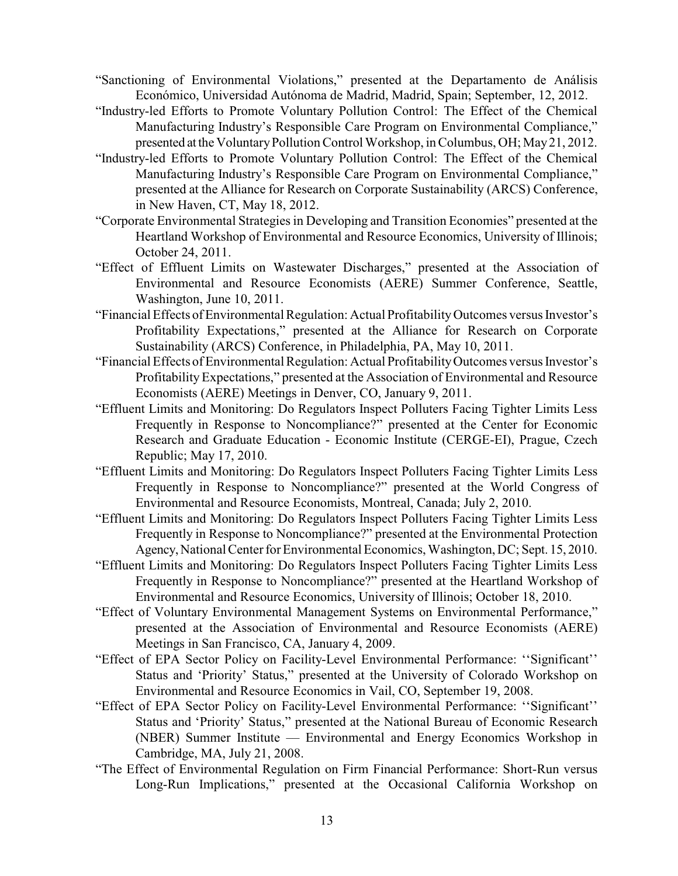- "Sanctioning of Environmental Violations," presented at the Departamento de Análisis Económico, Universidad Autónoma de Madrid, Madrid, Spain; September, 12, 2012.
- "Industry-led Efforts to Promote Voluntary Pollution Control: The Effect of the Chemical Manufacturing Industry's Responsible Care Program on Environmental Compliance," presented at the VoluntaryPollution Control Workshop, in Columbus, OH; May21, 2012.
- "Industry-led Efforts to Promote Voluntary Pollution Control: The Effect of the Chemical Manufacturing Industry's Responsible Care Program on Environmental Compliance," presented at the Alliance for Research on Corporate Sustainability (ARCS) Conference, in New Haven, CT, May 18, 2012.
- "Corporate Environmental Strategies in Developing and Transition Economies" presented at the Heartland Workshop of Environmental and Resource Economics, University of Illinois; October 24, 2011.
- "Effect of Effluent Limits on Wastewater Discharges," presented at the Association of Environmental and Resource Economists (AERE) Summer Conference, Seattle, Washington, June 10, 2011.
- "Financial Effects of Environmental Regulation: Actual ProfitabilityOutcomes versus Investor's Profitability Expectations," presented at the Alliance for Research on Corporate Sustainability (ARCS) Conference, in Philadelphia, PA, May 10, 2011.
- "Financial Effects of Environmental Regulation: Actual ProfitabilityOutcomes versus Investor's Profitability Expectations," presented at the Association of Environmental and Resource Economists (AERE) Meetings in Denver, CO, January 9, 2011.
- "Effluent Limits and Monitoring: Do Regulators Inspect Polluters Facing Tighter Limits Less Frequently in Response to Noncompliance?" presented at the Center for Economic Research and Graduate Education - Economic Institute (CERGE-EI), Prague, Czech Republic; May 17, 2010.
- "Effluent Limits and Monitoring: Do Regulators Inspect Polluters Facing Tighter Limits Less Frequently in Response to Noncompliance?" presented at the World Congress of Environmental and Resource Economists, Montreal, Canada; July 2, 2010.
- "Effluent Limits and Monitoring: Do Regulators Inspect Polluters Facing Tighter Limits Less Frequently in Response to Noncompliance?" presented at the Environmental Protection Agency,National Center for Environmental Economics, Washington, DC; Sept. 15, 2010.
- "Effluent Limits and Monitoring: Do Regulators Inspect Polluters Facing Tighter Limits Less Frequently in Response to Noncompliance?" presented at the Heartland Workshop of Environmental and Resource Economics, University of Illinois; October 18, 2010.
- "Effect of Voluntary Environmental Management Systems on Environmental Performance," presented at the Association of Environmental and Resource Economists (AERE) Meetings in San Francisco, CA, January 4, 2009.
- "Effect of EPA Sector Policy on Facility-Level Environmental Performance: ''Significant'' Status and 'Priority' Status," presented at the University of Colorado Workshop on Environmental and Resource Economics in Vail, CO, September 19, 2008.
- "Effect of EPA Sector Policy on Facility-Level Environmental Performance: ''Significant'' Status and 'Priority' Status," presented at the National Bureau of Economic Research (NBER) Summer Institute –– Environmental and Energy Economics Workshop in Cambridge, MA, July 21, 2008.
- "The Effect of Environmental Regulation on Firm Financial Performance: Short-Run versus Long-Run Implications," presented at the Occasional California Workshop on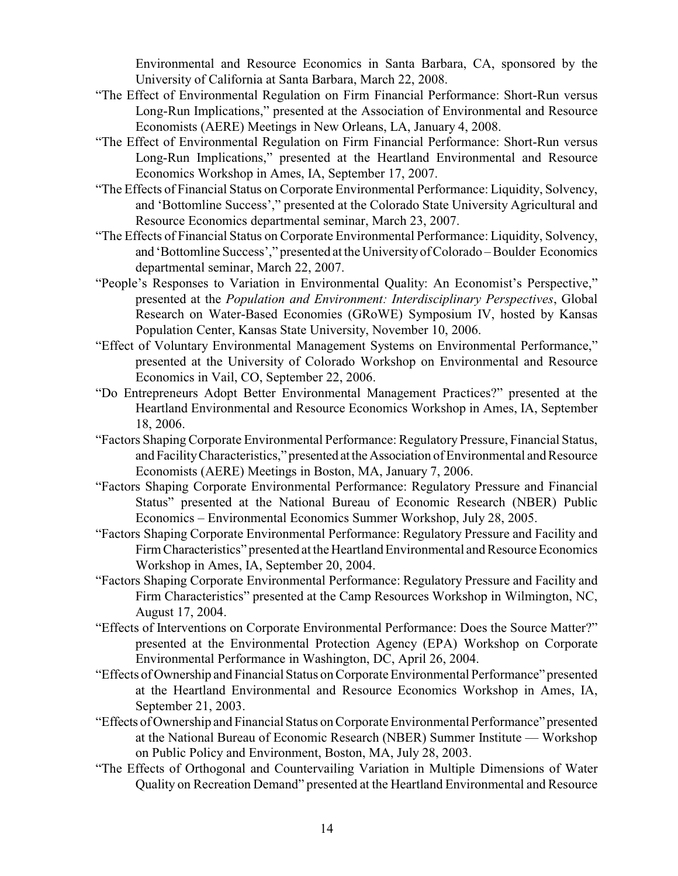Environmental and Resource Economics in Santa Barbara, CA, sponsored by the University of California at Santa Barbara, March 22, 2008.

- "The Effect of Environmental Regulation on Firm Financial Performance: Short-Run versus Long-Run Implications," presented at the Association of Environmental and Resource Economists (AERE) Meetings in New Orleans, LA, January 4, 2008.
- "The Effect of Environmental Regulation on Firm Financial Performance: Short-Run versus Long-Run Implications," presented at the Heartland Environmental and Resource Economics Workshop in Ames, IA, September 17, 2007.
- "The Effects of Financial Status on Corporate Environmental Performance: Liquidity, Solvency, and 'Bottomline Success'," presented at the Colorado State University Agricultural and Resource Economics departmental seminar, March 23, 2007.
- "The Effects of Financial Status on Corporate Environmental Performance: Liquidity, Solvency, and 'Bottomline Success'," presented at the Universityof Colorado – Boulder Economics departmental seminar, March 22, 2007.
- "People's Responses to Variation in Environmental Quality: An Economist's Perspective," presented at the *Population and Environment: Interdisciplinary Perspectives*, Global Research on Water-Based Economies (GRoWE) Symposium IV, hosted by Kansas Population Center, Kansas State University, November 10, 2006.
- "Effect of Voluntary Environmental Management Systems on Environmental Performance," presented at the University of Colorado Workshop on Environmental and Resource Economics in Vail, CO, September 22, 2006.
- "Do Entrepreneurs Adopt Better Environmental Management Practices?" presented at the Heartland Environmental and Resource Economics Workshop in Ames, IA, September 18, 2006.
- "Factors Shaping Corporate Environmental Performance: Regulatory Pressure, Financial Status, and Facility Characteristics," presented at the Association of Environmental and Resource Economists (AERE) Meetings in Boston, MA, January 7, 2006.
- "Factors Shaping Corporate Environmental Performance: Regulatory Pressure and Financial Status" presented at the National Bureau of Economic Research (NBER) Public Economics – Environmental Economics Summer Workshop, July 28, 2005.
- "Factors Shaping Corporate Environmental Performance: Regulatory Pressure and Facility and Firm Characteristics" presented at the Heartland Environmental and Resource Economics Workshop in Ames, IA, September 20, 2004.
- "Factors Shaping Corporate Environmental Performance: Regulatory Pressure and Facility and Firm Characteristics" presented at the Camp Resources Workshop in Wilmington, NC, August 17, 2004.
- "Effects of Interventions on Corporate Environmental Performance: Does the Source Matter?" presented at the Environmental Protection Agency (EPA) Workshop on Corporate Environmental Performance in Washington, DC, April 26, 2004.
- "Effects of Ownership and Financial Status on Corporate Environmental Performance" presented at the Heartland Environmental and Resource Economics Workshop in Ames, IA, September 21, 2003.
- "Effects of Ownership and Financial Status on Corporate Environmental Performance" presented at the National Bureau of Economic Research (NBER) Summer Institute — Workshop on Public Policy and Environment, Boston, MA, July 28, 2003.
- "The Effects of Orthogonal and Countervailing Variation in Multiple Dimensions of Water Quality on Recreation Demand" presented at the Heartland Environmental and Resource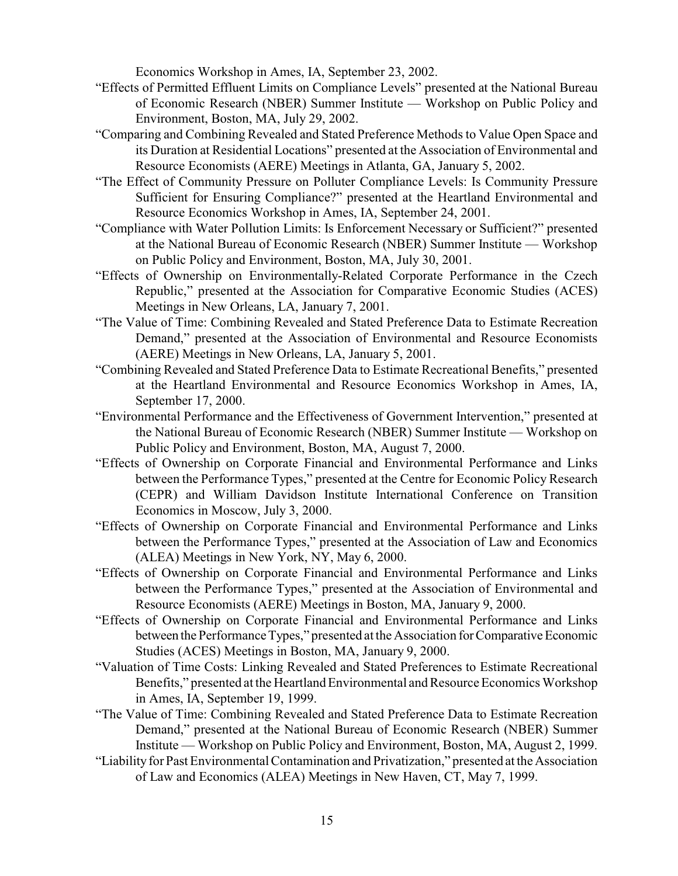Economics Workshop in Ames, IA, September 23, 2002.

- "Effects of Permitted Effluent Limits on Compliance Levels" presented at the National Bureau of Economic Research (NBER) Summer Institute — Workshop on Public Policy and Environment, Boston, MA, July 29, 2002.
- "Comparing and Combining Revealed and Stated Preference Methods to Value Open Space and its Duration at Residential Locations" presented at the Association of Environmental and Resource Economists (AERE) Meetings in Atlanta, GA, January 5, 2002.
- "The Effect of Community Pressure on Polluter Compliance Levels: Is Community Pressure Sufficient for Ensuring Compliance?" presented at the Heartland Environmental and Resource Economics Workshop in Ames, IA, September 24, 2001.
- "Compliance with Water Pollution Limits: Is Enforcement Necessary or Sufficient?" presented at the National Bureau of Economic Research (NBER) Summer Institute — Workshop on Public Policy and Environment, Boston, MA, July 30, 2001.
- "Effects of Ownership on Environmentally-Related Corporate Performance in the Czech Republic," presented at the Association for Comparative Economic Studies (ACES) Meetings in New Orleans, LA, January 7, 2001.
- "The Value of Time: Combining Revealed and Stated Preference Data to Estimate Recreation Demand," presented at the Association of Environmental and Resource Economists (AERE) Meetings in New Orleans, LA, January 5, 2001.
- "Combining Revealed and Stated Preference Data to Estimate Recreational Benefits," presented at the Heartland Environmental and Resource Economics Workshop in Ames, IA, September 17, 2000.
- "Environmental Performance and the Effectiveness of Government Intervention," presented at the National Bureau of Economic Research (NBER) Summer Institute — Workshop on Public Policy and Environment, Boston, MA, August 7, 2000.
- "Effects of Ownership on Corporate Financial and Environmental Performance and Links between the Performance Types," presented at the Centre for Economic Policy Research (CEPR) and William Davidson Institute International Conference on Transition Economics in Moscow, July 3, 2000.
- "Effects of Ownership on Corporate Financial and Environmental Performance and Links between the Performance Types," presented at the Association of Law and Economics (ALEA) Meetings in New York, NY, May 6, 2000.
- "Effects of Ownership on Corporate Financial and Environmental Performance and Links between the Performance Types," presented at the Association of Environmental and Resource Economists (AERE) Meetings in Boston, MA, January 9, 2000.
- "Effects of Ownership on Corporate Financial and Environmental Performance and Links between the Performance Types," presented at the Association for Comparative Economic Studies (ACES) Meetings in Boston, MA, January 9, 2000.
- "Valuation of Time Costs: Linking Revealed and Stated Preferences to Estimate Recreational Benefits," presented at the Heartland Environmental and Resource Economics Workshop in Ames, IA, September 19, 1999.
- "The Value of Time: Combining Revealed and Stated Preference Data to Estimate Recreation Demand," presented at the National Bureau of Economic Research (NBER) Summer Institute — Workshop on Public Policy and Environment, Boston, MA, August 2, 1999.
- "Liability for Past Environmental Contamination and Privatization," presented at the Association of Law and Economics (ALEA) Meetings in New Haven, CT, May 7, 1999.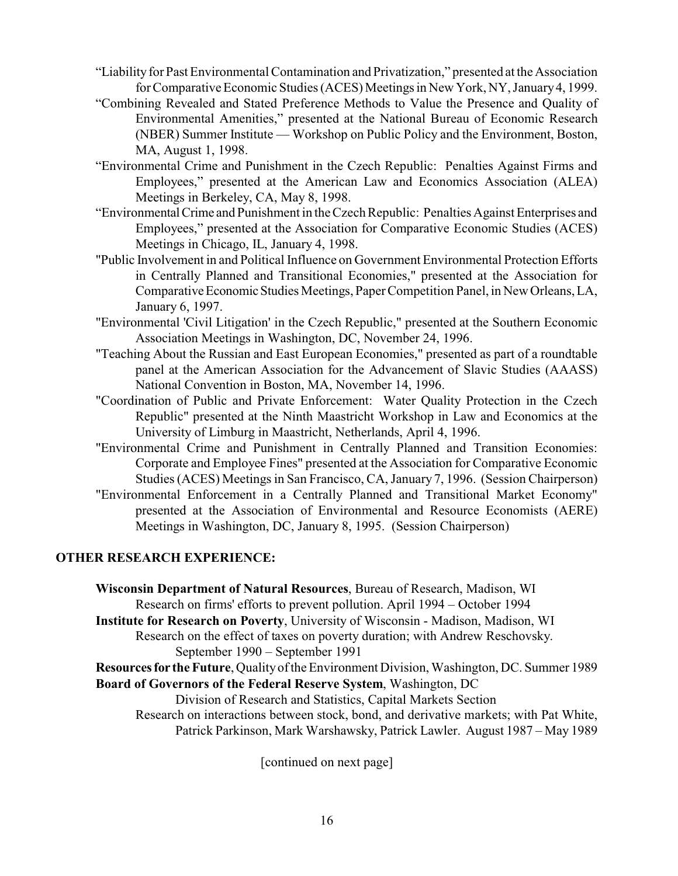- "Liability for Past Environmental Contamination and Privatization," presented at the Association for Comparative Economic Studies (ACES) Meetings in New York, NY, January4, 1999.
- "Combining Revealed and Stated Preference Methods to Value the Presence and Quality of Environmental Amenities," presented at the National Bureau of Economic Research (NBER) Summer Institute — Workshop on Public Policy and the Environment, Boston, MA, August 1, 1998.
- "Environmental Crime and Punishment in the Czech Republic: Penalties Against Firms and Employees," presented at the American Law and Economics Association (ALEA) Meetings in Berkeley, CA, May 8, 1998.
- "EnvironmentalCrime and Punishment in the Czech Republic: Penalties Against Enterprises and Employees," presented at the Association for Comparative Economic Studies (ACES) Meetings in Chicago, IL, January 4, 1998.
- "Public Involvement in and Political Influence on Government Environmental Protection Efforts in Centrally Planned and Transitional Economies," presented at the Association for Comparative Economic Studies Meetings, Paper Competition Panel, in New Orleans, LA, January 6, 1997.
- "Environmental 'Civil Litigation' in the Czech Republic," presented at the Southern Economic Association Meetings in Washington, DC, November 24, 1996.
- "Teaching About the Russian and East European Economies," presented as part of a roundtable panel at the American Association for the Advancement of Slavic Studies (AAASS) National Convention in Boston, MA, November 14, 1996.
- "Coordination of Public and Private Enforcement: Water Quality Protection in the Czech Republic" presented at the Ninth Maastricht Workshop in Law and Economics at the University of Limburg in Maastricht, Netherlands, April 4, 1996.
- "Environmental Crime and Punishment in Centrally Planned and Transition Economies: Corporate and Employee Fines" presented at the Association for Comparative Economic Studies (ACES) Meetings in San Francisco, CA, January 7, 1996. (Session Chairperson)
- "Environmental Enforcement in a Centrally Planned and Transitional Market Economy" presented at the Association of Environmental and Resource Economists (AERE) Meetings in Washington, DC, January 8, 1995. (Session Chairperson)

# **OTHER RESEARCH EXPERIENCE:**

**Wisconsin Department of Natural Resources**, Bureau of Research, Madison, WI Research on firms' efforts to prevent pollution. April 1994 – October 1994 **Institute for Research on Poverty**, University of Wisconsin - Madison, Madison, WI Research on the effect of taxes on poverty duration; with Andrew Reschovsky. September 1990 – September 1991 **Resourcesfor the Future**, Qualityof the Environment Division, Washington, DC. Summer 1989 **Board of Governors of the Federal Reserve System**, Washington, DC

Division of Research and Statistics, Capital Markets Section Research on interactions between stock, bond, and derivative markets; with Pat White, Patrick Parkinson, Mark Warshawsky, Patrick Lawler. August 1987 – May 1989

[continued on next page]